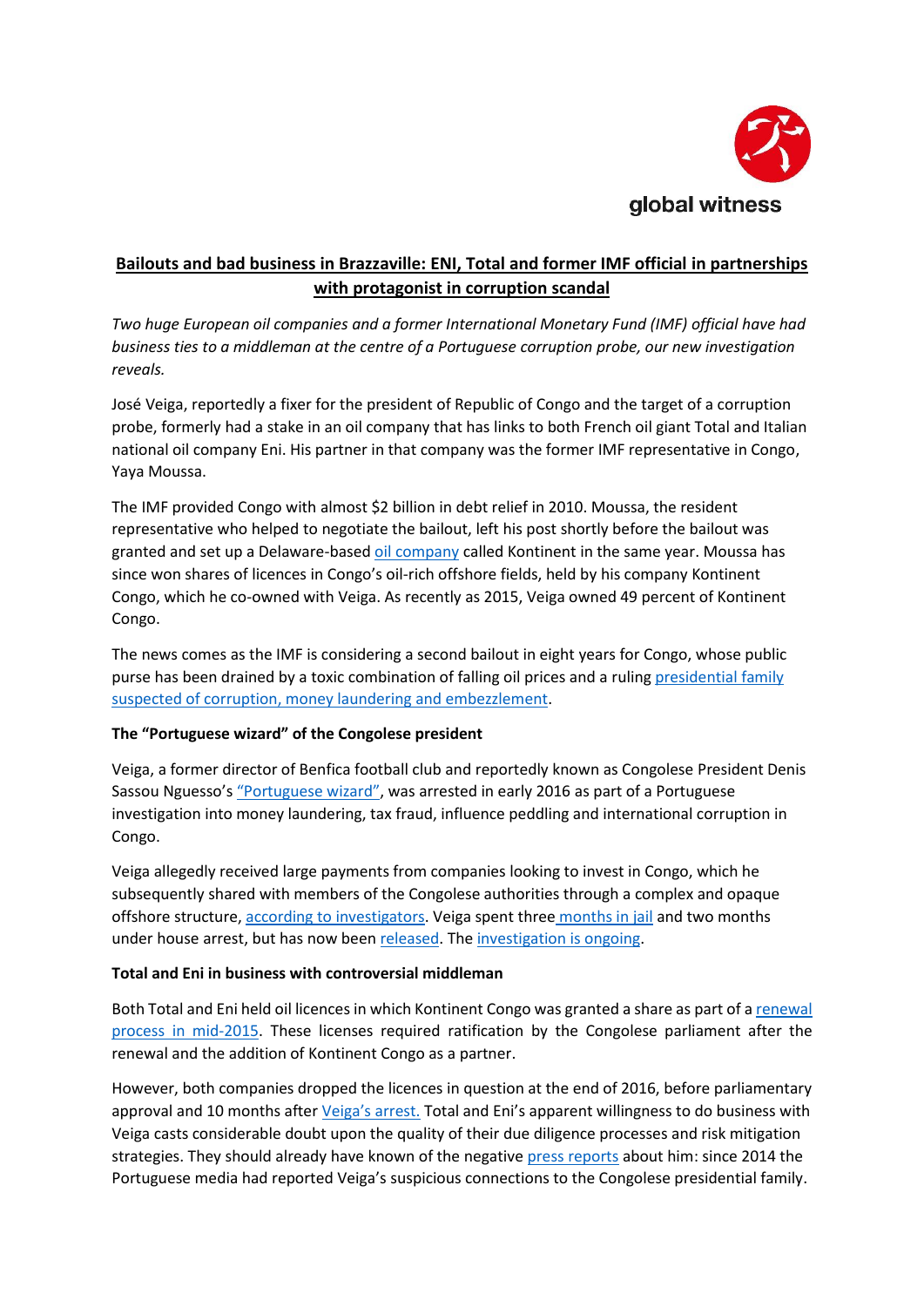

# **Bailouts and bad business in Brazzaville: ENI, Total and former IMF official in partnerships with protagonist in corruption scandal**

*Two huge European oil companies and a former International Monetary Fund (IMF) official have had business ties to a middleman at the centre of a Portuguese corruption probe, our new investigation reveals.* 

José Veiga, reportedly a fixer for the president of Republic of Congo and the target of a corruption probe, formerly had a stake in an oil company that has links to both French oil giant Total and Italian national oil company Eni. His partner in that company was the former IMF representative in Congo, Yaya Moussa.

The IMF provided Congo with almost \$2 billion in debt relief in 2010. Moussa, the resident representative who helped to negotiate the bailout, left his post shortly before the bailout was granted and set up a Delaware-base[d oil company](https://www.manta.com/c/mb09557/kontinent-llc) called Kontinent in the same year. Moussa has since won shares of licences in Congo's oil-rich offshore fields, held by his company Kontinent Congo, which he co-owned with Veiga. As recently as 2015, Veiga owned 49 percent of Kontinent Congo.

The news comes as the IMF is considering a second bailout in eight years for Congo, whose public purse has been drained by a toxic combination of falling oil prices and a ruling [presidential family](https://www.courrierinternational.com/article/congo-laffaire-des-biens-mal-acquis-rattrape-les-proches-du-president-sassou-nguesso)  [suspected of corruption, money laundering and embezzlement.](https://www.courrierinternational.com/article/congo-laffaire-des-biens-mal-acquis-rattrape-les-proches-du-president-sassou-nguesso)

## **The "Portuguese wizard" of the Congolese president**

Veiga, a former director of Benfica football club and reportedly known as Congolese President Denis Sassou Nguesso's ["Portuguese wizard"](https://www.dn.pt/sociedade/interior/jose-veiga-era-o-feiticeiro-portugues-do-presidente-do-congo-5013660.html), was arrested in early 2016 as part of a Portuguese investigation into money laundering, tax fraud, influence peddling and international corruption in Congo.

Veiga allegedly received large payments from companies looking to invest in Congo, which he subsequently shared with members of the Congolese authorities through a complex and opaque offshore structure[, according to investigators.](https://www.publico.pt/2016/02/05/sociedade/noticia/processo-de-jose-veiga-resultou-de-carta-rogatoria-das-autoridades-francesas-1722433) Veiga spent three [months in jail](https://observador.pt/2016/05/11/jose-veiga-passa-prisao-domiciliaria/) and two months under house arrest, but has now been [released.](https://observador.pt/2016/07/26/jose-veiga-em-liberdade-juiz-dispensou-pagamento-de-caucao-de-12-milhoes/) Th[e investigation is ongoing.](https://www.sabado.pt/portugal/detalhe/processo-de-jose-veiga-vai-arrastar-se-ate-2019)

#### **Total and Eni in business with controversial middleman**

Both Total and Eni held oil licences in which Kontinent Congo was granted a share as part of [a renewal](http://cg.total.com/fr/accueil/medias/liste-actualite/renouvellement-des-licences-du-secteur-sud)  [process in mid-2015.](http://cg.total.com/fr/accueil/medias/liste-actualite/renouvellement-des-licences-du-secteur-sud) These licenses required ratification by the Congolese parliament after the renewal and the addition of Kontinent Congo as a partner.

However, both companies dropped the licences in question at the end of 2016, before parliamentary approval and 10 months after [Veiga's arrest](https://www.cmjornal.pt/portugal/detalhe/jose_veiga_preso_por_corrupcao). Total and Eni's apparent willingness to do business with Veiga casts considerable doubt upon the quality of their due diligence processes and risk mitigation strategies. They should already have known of the negativ[e press reports](https://www.sabado.pt/portugal/detalhe/jose-veiga-o-investidor-que-nao-era-um-principe-mas) about him: since 2014 the Portuguese media had reported Veiga's suspicious connections to the Congolese presidential family.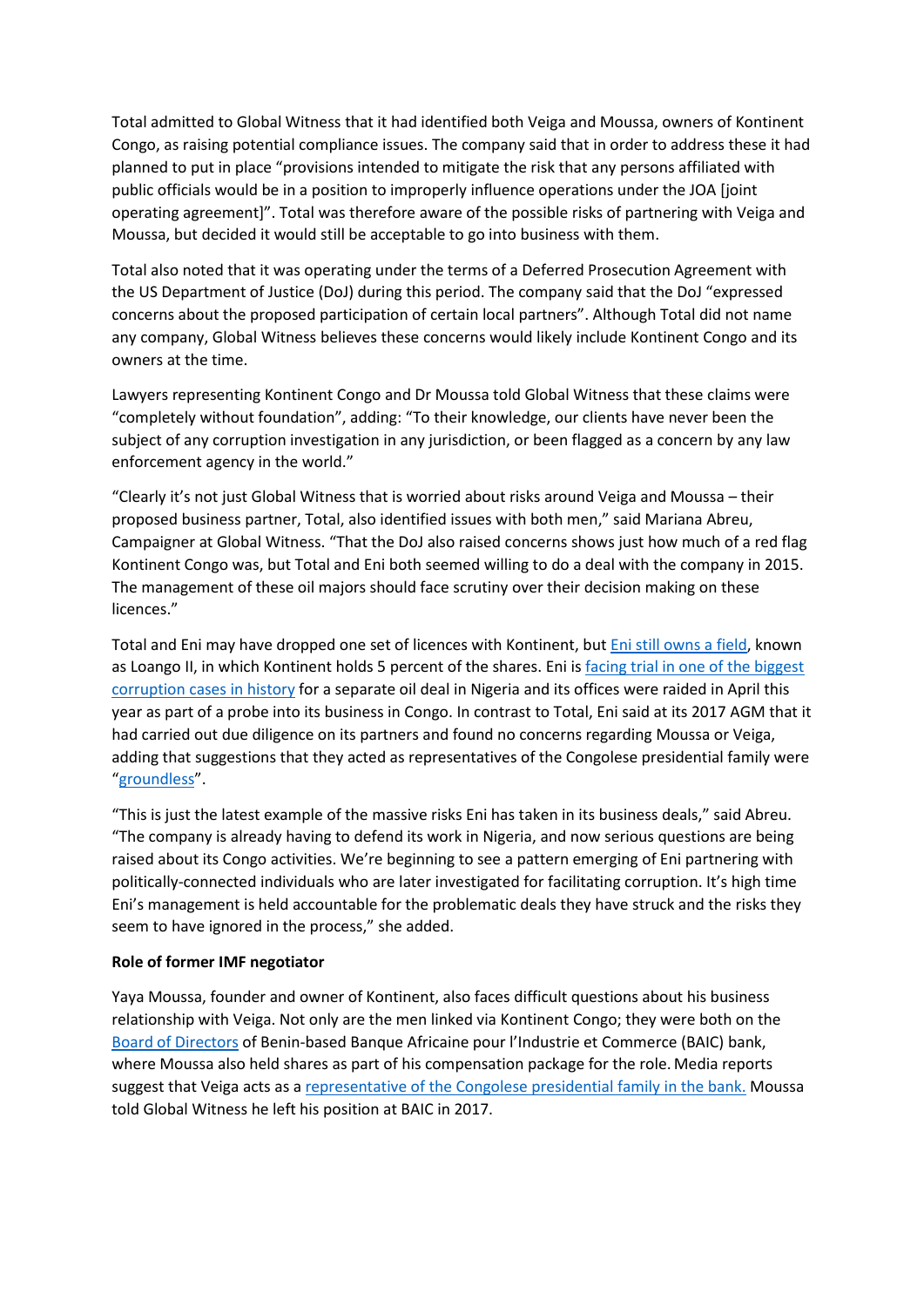Total admitted to Global Witness that it had identified both Veiga and Moussa, owners of Kontinent Congo, as raising potential compliance issues. The company said that in order to address these it had planned to put in place "provisions intended to mitigate the risk that any persons affiliated with public officials would be in a position to improperly influence operations under the JOA [joint operating agreement]". Total was therefore aware of the possible risks of partnering with Veiga and Moussa, but decided it would still be acceptable to go into business with them.

Total also noted that it was operating under the terms of a Deferred Prosecution Agreement with the US Department of Justice (DoJ) during this period. The company said that the DoJ "expressed concerns about the proposed participation of certain local partners". Although Total did not name any company, Global Witness believes these concerns would likely include Kontinent Congo and its owners at the time.

Lawyers representing Kontinent Congo and Dr Moussa told Global Witness that these claims were "completely without foundation", adding: "To their knowledge, our clients have never been the subject of any corruption investigation in any jurisdiction, or been flagged as a concern by any law enforcement agency in the world."

"Clearly it's not just Global Witness that is worried about risks around Veiga and Moussa – their proposed business partner, Total, also identified issues with both men," said Mariana Abreu, Campaigner at Global Witness. "That the DoJ also raised concerns shows just how much of a red flag Kontinent Congo was, but Total and Eni both seemed willing to do a deal with the company in 2015. The management of these oil majors should face scrutiny over their decision making on these licences."

Total and Eni may have dropped one set of licences with Kontinent, but [Eni still owns a field,](https://www.eni.com/docs/en_IT/enicom/investors/2017/2017-2020-strategy/2016-full-year-results-strategy-2017-2020.pdf) known as Loango II, in which Kontinent holds 5 percent of the shares. Eni is facing trial in one of the biggest [corruption cases in history](https://www.globalwitness.org/en/campaigns/oil-gas-and-mining/shell-eni-trial/) for a separate oil deal in Nigeria and its offices were raided in April this year as part of a probe into its business in Congo. In contrast to Total, Eni said at its 2017 AGM that it had carried out due diligence on its partners and found no concerns regarding Moussa or Veiga, adding that suggestions that they acted as representatives of the Congolese presidential family were "[groundless](https://www.eni.com/docs/en_IT/enicom/company/governance/shareholders-meeting/2017/questions-and-answers-before-the-shareholders-meeting-2017.pdf)".

"This is just the latest example of the massive risks Eni has taken in its business deals," said Abreu. "The company is already having to defend its work in Nigeria, and now serious questions are being raised about its Congo activities. We're beginning to see a pattern emerging of Eni partnering with politically-connected individuals who are later investigated for facilitating corruption. It's high time Eni's management is held accountable for the problematic deals they have struck and the risks they seem to have ignored in the process," she added.

#### **Role of former IMF negotiator**

Yaya Moussa, founder and owner of Kontinent, also faces difficult questions about his business relationship with Veiga. Not only are the men linked via Kontinent Congo; they were both on the [Board of Directors](https://apbef-bj.org/adherent/banque-africaine-pour-lindustrie-et-le-commerce/) of Benin-based Banque Africaine pour l'Industrie et Commerce (BAIC) bank, where Moussa also held shares as part of his compensation package for the role. Media reports suggest that Veiga acts as a [representative of the Congolese presidential family](https://observador.pt/2016/02/08/veiga-banqueiro-na-republica-do-benim-veja-as-fotos-video/) in the bank. Moussa told Global Witness he left his position at BAIC in 2017.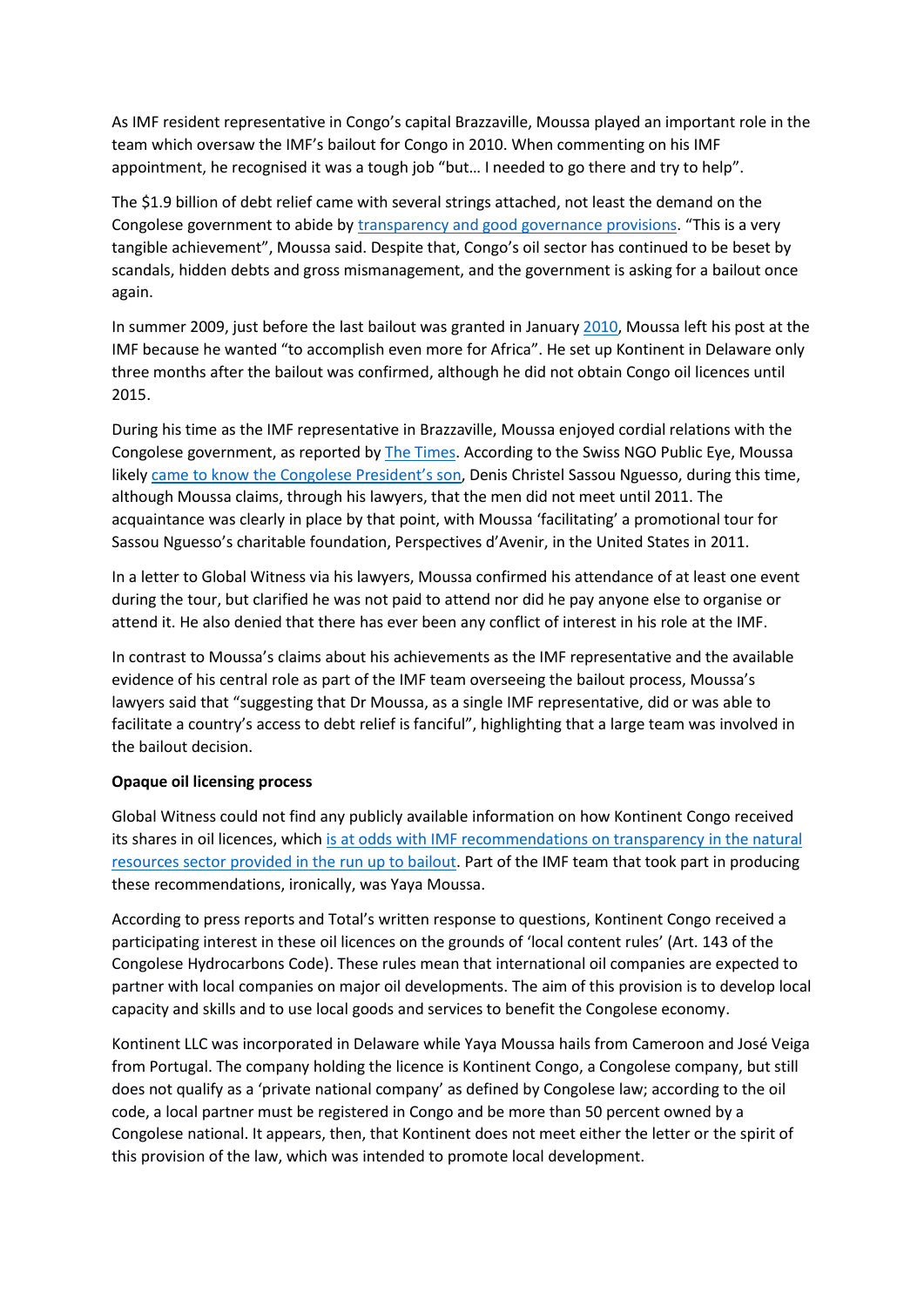As IMF resident representative in Congo's capital Brazzaville, Moussa played an important role in the team which oversaw the IMF's bailout for Congo in 2010. When commenting on his IMF appointment, he recognised it was a tough job "but… I needed to go there and try to help".

The \$1.9 billion of debt relief came with several strings attached, not least the demand on the Congolese government to abide b[y transparency and good governance provisions.](https://www.imf.org/en/Publications/CR/Issues/2016/12/31/Republic-of-Congo-2008-Article-IV-Consultation-Requests-for-a-Three-Year-Arrangement-Under-22747) "This is a very tangible achievement", Moussa said. Despite that, Congo's oil sector has continued to be beset by scandals, hidden debts and gross mismanagement, and the government is asking for a bailout once again.

In summer 2009, just before the last bailout was granted in January [2010,](https://www.imf.org/en/News/Articles/2015/09/14/01/49/pr1020) Moussa left his post at the IMF because he wanted "to accomplish even more for Africa". He set up Kontinent in Delaware only three months after the bailout was confirmed, although he did not obtain Congo oil licences until 2015.

During his time as the IMF representative in Brazzaville, Moussa enjoyed cordial relations with the Congolese government, as reported by [The Times.](https://www.thetimes.co.uk/article/local-partners-muddy-waters-of-totals-offshore-contracts-jkc9rvbmj6f) According to the Swiss NGO Public Eye, Moussa likely came to know [the Congolese President's son](https://www.publiceye.ch/fileadmin/files/documents/Rohstoffe/BD-2015-Investigation-Philias_s_refined_ventures.pdf), Denis Christel Sassou Nguesso, during this time, although Moussa claims, through his lawyers, that the men did not meet until 2011. The acquaintance was clearly in place by that point, with Moussa 'facilitating' a promotional tour for Sassou Nguesso's charitable foundation, Perspectives d'Avenir, in the United States in 2011.

In a letter to Global Witness via his lawyers, Moussa confirmed his attendance of at least one event during the tour, but clarified he was not paid to attend nor did he pay anyone else to organise or attend it. He also denied that there has ever been any conflict of interest in his role at the IMF.

In contrast to Moussa's claims about his achievements as the IMF representative and the available evidence of his central role as part of the IMF team overseeing the bailout process, Moussa's lawyers said that "suggesting that Dr Moussa, as a single IMF representative, did or was able to facilitate a country's access to debt relief is fanciful", highlighting that a large team was involved in the bailout decision.

#### **Opaque oil licensing process**

Global Witness could not find any publicly available information on how Kontinent Congo received its shares in oil licences, which is at odds with [IMF recommendations on transparency in the natural](http://www.imf.org/en/Publications/CR/Issues/2016/12/31/Republic-of-Congo-2008-Article-IV-Consultation-Requests-for-a-Three-Year-Arrangement-Under-22747)  resources sector provided [in the run up to bailout.](http://www.imf.org/en/Publications/CR/Issues/2016/12/31/Republic-of-Congo-2008-Article-IV-Consultation-Requests-for-a-Three-Year-Arrangement-Under-22747) Part of the IMF team that took part in producing these recommendations, ironically, was Yaya Moussa.

According to press reports and Total's written response to questions, Kontinent Congo received a participating interest in these oil licences on the grounds of 'local content rules' (Art. 143 of the Congolese Hydrocarbons Code). These rules mean that international oil companies are expected to partner with local companies on major oil developments. The aim of this provision is to develop local capacity and skills and to use local goods and services to benefit the Congolese economy.

Kontinent LLC was incorporated in Delaware while Yaya Moussa hails from Cameroon and José Veiga from Portugal. The company holding the licence is Kontinent Congo, a Congolese company, but still does not qualify as a 'private national company' as defined by Congolese law; according to the oil code, a local partner must be registered in Congo and be more than 50 percent owned by a Congolese national. It appears, then, that Kontinent does not meet either the letter or the spirit of this provision of the law, which was intended to promote local development.